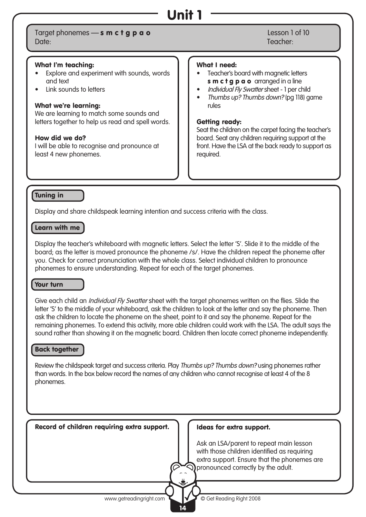# Unit 1

### Target phonemes — s m c t g p a o Lesson 1 of 10 Date: Teacher:

### What I'm teaching:

- Explore and experiment with sounds, words and text
- Link sounds to letters

### What we're learning:

We are learning to match some sounds and letters together to help us read and spell words.

### How did we do?

I will be able to recognise and pronounce at least 4 new phonemes.

#### What I need:

- Teacher's board with magnetic letters s m c t g p a o arranged in a line
- Individual Fly Swatter sheet 1 per child
- Thumbs up? Thumbs down? (pg 118) game rules

### Getting ready:

Seat the children on the carpet facing the teacher's board. Seat any children requiring support at the front. Have the LSA at the back ready to support as required.

### Tuning in

Display and share childspeak learning intention and success criteria with the class.

### Learn with me

Display the teacher's whiteboard with magnetic letters. Select the letter 'S'. Slide it to the middle of the board; as the letter is moved pronounce the phoneme /s/. Have the children repeat the phoneme after you. Check for correct pronunciation with the whole class. Select individual children to pronounce phonemes to ensure understanding. Repeat for each of the target phonemes.

### Your turn

Give each child an *Individual Fly Swatter* sheet with the target phonemes written on the flies. Slide the letter 'S' to the middle of your whiteboard, ask the children to look at the letter and say the phoneme. Then ask the children to locate the phoneme on the sheet, point to it and say the phoneme. Repeat for the remaining phonemes. To extend this activity, more able children could work with the LSA. The adult says the sound rather than showing it on the magnetic board. Children then locate correct phoneme independently.

### Back together

Review the childspeak target and success criteria. Play Thumbs up? Thumbs down? using phonemes rather than words. In the box below record the names of any children who cannot recognise at least 4 of the 8 phonemes.

| Record of children requiring extra support. | Ideas for extra support.                                                                                                                                                                  |
|---------------------------------------------|-------------------------------------------------------------------------------------------------------------------------------------------------------------------------------------------|
|                                             | Ask an LSA/parent to repeat main lesson<br>with those children identified as requiring<br>extra support. Ensure that the phonemes are<br>$\mathcal{D}$ pronounced correctly by the adult. |
| www.getreadingright.com                     | © Get Reading Right 2008                                                                                                                                                                  |

14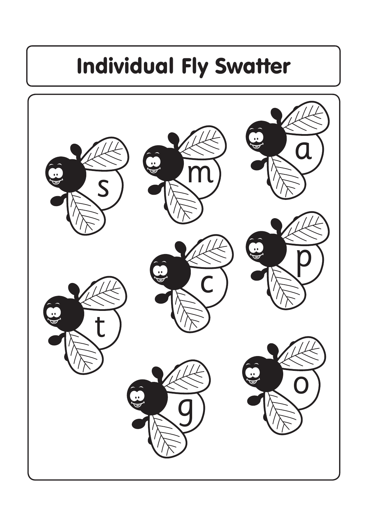# Individual Fly Swatter

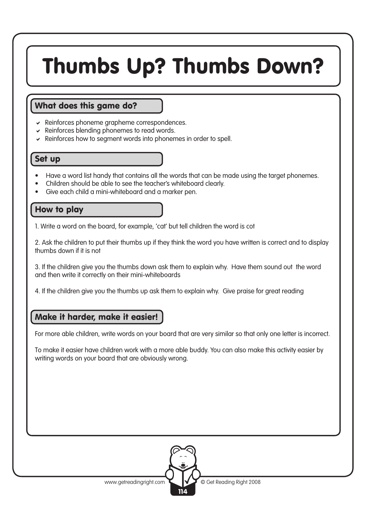# Thumbs Up? Thumbs Down?

### What does this game do?

- $\triangleright$  Reinforces phoneme grapheme correspondences.
- $\vee$  Reinforces blending phonemes to read words.
- $\vee$  Reinforces how to seament words into phonemes in order to spell.

### Set up

- Have a word list handy that contains all the words that can be made using the target phonemes.
- Children should be able to see the teacher's whiteboard clearly.
- Give each child a mini-whiteboard and a marker pen.

### How to play

1. Write a word on the board, for example, 'cat' but tell children the word is cot

2. Ask the children to put their thumbs up if they think the word you have written is correct and to display thumbs down if it is not

3. If the children give you the thumbs down ask them to explain why. Have them sound out the word and then write it correctly on their mini-whiteboards

4. If the children give you the thumbs up ask them to explain why. Give praise for great reading

### Make it harder, make it easier!

For more able children, write words on your board that are very similar so that only one letter is incorrect.

To make it easier have children work with a more able buddy. You can also make this activity easier by writing words on your board that are obviously wrong.

114

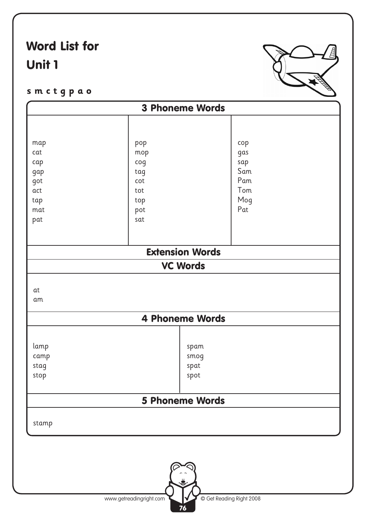# Word List for Unit 1



**s m c t g p a o**

|                        | <b>3 Phoneme Words</b>                    |                                                                           |                                                                  |  |
|------------------------|-------------------------------------------|---------------------------------------------------------------------------|------------------------------------------------------------------|--|
|                        |                                           |                                                                           |                                                                  |  |
|                        |                                           |                                                                           |                                                                  |  |
|                        |                                           |                                                                           |                                                                  |  |
|                        |                                           |                                                                           |                                                                  |  |
|                        |                                           |                                                                           |                                                                  |  |
|                        |                                           |                                                                           |                                                                  |  |
| cot<br>tot             |                                           | Pam<br>Tom                                                                |                                                                  |  |
|                        |                                           |                                                                           |                                                                  |  |
|                        |                                           |                                                                           |                                                                  |  |
| sat                    |                                           |                                                                           |                                                                  |  |
|                        |                                           |                                                                           |                                                                  |  |
|                        |                                           |                                                                           |                                                                  |  |
| <b>Extension Words</b> |                                           |                                                                           |                                                                  |  |
|                        |                                           |                                                                           |                                                                  |  |
|                        |                                           |                                                                           |                                                                  |  |
|                        |                                           |                                                                           |                                                                  |  |
|                        |                                           |                                                                           |                                                                  |  |
|                        |                                           |                                                                           |                                                                  |  |
|                        |                                           |                                                                           |                                                                  |  |
|                        |                                           |                                                                           |                                                                  |  |
|                        |                                           |                                                                           |                                                                  |  |
|                        |                                           |                                                                           |                                                                  |  |
|                        |                                           |                                                                           |                                                                  |  |
|                        |                                           |                                                                           |                                                                  |  |
|                        |                                           |                                                                           |                                                                  |  |
|                        |                                           |                                                                           |                                                                  |  |
|                        |                                           |                                                                           |                                                                  |  |
|                        |                                           |                                                                           |                                                                  |  |
|                        | pop<br>mop<br>$\log$<br>tag<br>top<br>pot | <b>VC Words</b><br>spam<br>smog<br>spat<br>spot<br><b>5 Phoneme Words</b> | cop<br>gas<br>sap<br>Sam<br>Mog<br>Pat<br><b>4 Phoneme Words</b> |  |